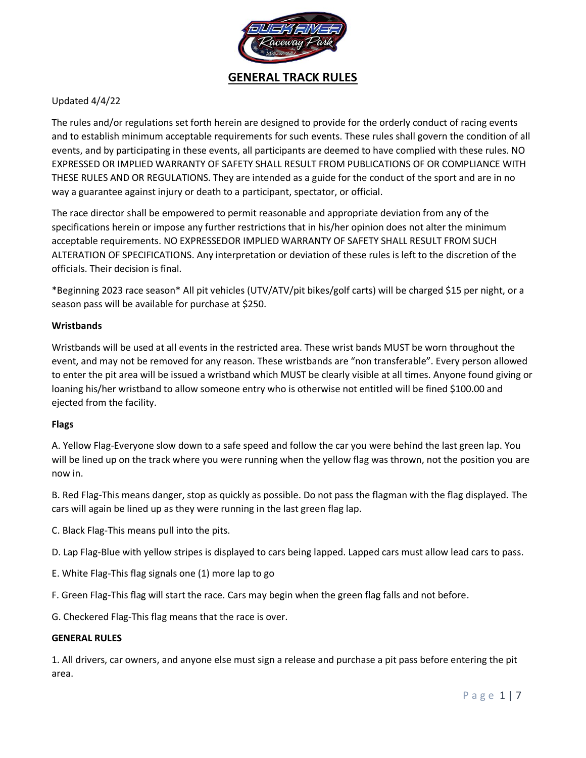

# Updated 4/4/22

The rules and/or regulations set forth herein are designed to provide for the orderly conduct of racing events and to establish minimum acceptable requirements for such events. These rules shall govern the condition of all events, and by participating in these events, all participants are deemed to have complied with these rules. NO EXPRESSED OR IMPLIED WARRANTY OF SAFETY SHALL RESULT FROM PUBLICATIONS OF OR COMPLIANCE WITH THESE RULES AND OR REGULATIONS. They are intended as a guide for the conduct of the sport and are in no way a guarantee against injury or death to a participant, spectator, or official.

The race director shall be empowered to permit reasonable and appropriate deviation from any of the specifications herein or impose any further restrictions that in his/her opinion does not alter the minimum acceptable requirements. NO EXPRESSEDOR IMPLIED WARRANTY OF SAFETY SHALL RESULT FROM SUCH ALTERATION OF SPECIFICATIONS. Any interpretation or deviation of these rules is left to the discretion of the officials. Their decision is final.

\*Beginning 2023 race season\* All pit vehicles (UTV/ATV/pit bikes/golf carts) will be charged \$15 per night, or a season pass will be available for purchase at \$250.

## **Wristbands**

Wristbands will be used at all events in the restricted area. These wrist bands MUST be worn throughout the event, and may not be removed for any reason. These wristbands are "non transferable". Every person allowed to enter the pit area will be issued a wristband which MUST be clearly visible at all times. Anyone found giving or loaning his/her wristband to allow someone entry who is otherwise not entitled will be fined \$100.00 and ejected from the facility.

#### **Flags**

A. Yellow Flag-Everyone slow down to a safe speed and follow the car you were behind the last green lap. You will be lined up on the track where you were running when the yellow flag was thrown, not the position you are now in.

B. Red Flag-This means danger, stop as quickly as possible. Do not pass the flagman with the flag displayed. The cars will again be lined up as they were running in the last green flag lap.

C. Black Flag-This means pull into the pits.

D. Lap Flag-Blue with yellow stripes is displayed to cars being lapped. Lapped cars must allow lead cars to pass.

E. White Flag-This flag signals one (1) more lap to go

F. Green Flag-This flag will start the race. Cars may begin when the green flag falls and not before.

G. Checkered Flag-This flag means that the race is over.

#### **GENERAL RULES**

1. All drivers, car owners, and anyone else must sign a release and purchase a pit pass before entering the pit area.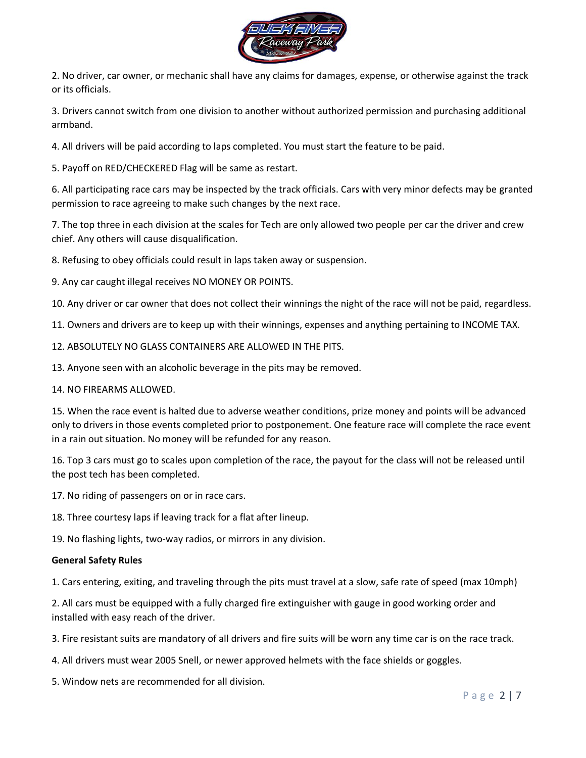

2. No driver, car owner, or mechanic shall have any claims for damages, expense, or otherwise against the track or its officials.

3. Drivers cannot switch from one division to another without authorized permission and purchasing additional armband.

4. All drivers will be paid according to laps completed. You must start the feature to be paid.

5. Payoff on RED/CHECKERED Flag will be same as restart.

6. All participating race cars may be inspected by the track officials. Cars with very minor defects may be granted permission to race agreeing to make such changes by the next race.

7. The top three in each division at the scales for Tech are only allowed two people per car the driver and crew chief. Any others will cause disqualification.

8. Refusing to obey officials could result in laps taken away or suspension.

9. Any car caught illegal receives NO MONEY OR POINTS.

10. Any driver or car owner that does not collect their winnings the night of the race will not be paid, regardless.

11. Owners and drivers are to keep up with their winnings, expenses and anything pertaining to INCOME TAX.

12. ABSOLUTELY NO GLASS CONTAINERS ARE ALLOWED IN THE PITS.

13. Anyone seen with an alcoholic beverage in the pits may be removed.

14. NO FIREARMS ALLOWED.

15. When the race event is halted due to adverse weather conditions, prize money and points will be advanced only to drivers in those events completed prior to postponement. One feature race will complete the race event in a rain out situation. No money will be refunded for any reason.

16. Top 3 cars must go to scales upon completion of the race, the payout for the class will not be released until the post tech has been completed.

17. No riding of passengers on or in race cars.

18. Three courtesy laps if leaving track for a flat after lineup.

19. No flashing lights, two-way radios, or mirrors in any division.

#### **General Safety Rules**

1. Cars entering, exiting, and traveling through the pits must travel at a slow, safe rate of speed (max 10mph)

2. All cars must be equipped with a fully charged fire extinguisher with gauge in good working order and installed with easy reach of the driver.

- 3. Fire resistant suits are mandatory of all drivers and fire suits will be worn any time car is on the race track.
- 4. All drivers must wear 2005 Snell, or newer approved helmets with the face shields or goggles.

5. Window nets are recommended for all division.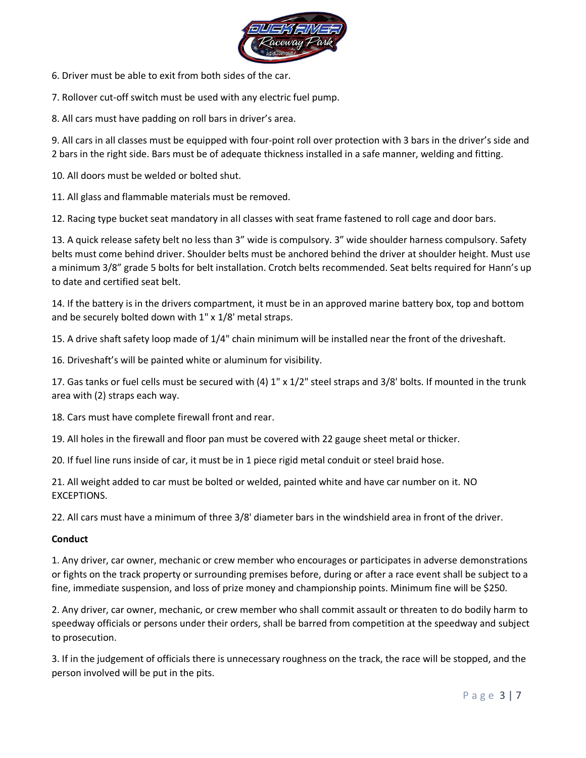

6. Driver must be able to exit from both sides of the car.

7. Rollover cut-off switch must be used with any electric fuel pump.

8. All cars must have padding on roll bars in driver's area.

9. All cars in all classes must be equipped with four-point roll over protection with 3 bars in the driver's side and 2 bars in the right side. Bars must be of adequate thickness installed in a safe manner, welding and fitting.

10. All doors must be welded or bolted shut.

11. All glass and flammable materials must be removed.

12. Racing type bucket seat mandatory in all classes with seat frame fastened to roll cage and door bars.

13. A quick release safety belt no less than 3" wide is compulsory. 3" wide shoulder harness compulsory. Safety belts must come behind driver. Shoulder belts must be anchored behind the driver at shoulder height. Must use a minimum 3/8" grade 5 bolts for belt installation. Crotch belts recommended. Seat belts required for Hann's up to date and certified seat belt.

14. If the battery is in the drivers compartment, it must be in an approved marine battery box, top and bottom and be securely bolted down with 1" x 1/8' metal straps.

15. A drive shaft safety loop made of 1/4" chain minimum will be installed near the front of the driveshaft.

16. Driveshaft's will be painted white or aluminum for visibility.

17. Gas tanks or fuel cells must be secured with (4) 1" x 1/2" steel straps and 3/8' bolts. If mounted in the trunk area with (2) straps each way.

18. Cars must have complete firewall front and rear.

19. All holes in the firewall and floor pan must be covered with 22 gauge sheet metal or thicker.

20. If fuel line runs inside of car, it must be in 1 piece rigid metal conduit or steel braid hose.

21. All weight added to car must be bolted or welded, painted white and have car number on it. NO EXCEPTIONS.

22. All cars must have a minimum of three 3/8' diameter bars in the windshield area in front of the driver.

## **Conduct**

1. Any driver, car owner, mechanic or crew member who encourages or participates in adverse demonstrations or fights on the track property or surrounding premises before, during or after a race event shall be subject to a fine, immediate suspension, and loss of prize money and championship points. Minimum fine will be \$250.

2. Any driver, car owner, mechanic, or crew member who shall commit assault or threaten to do bodily harm to speedway officials or persons under their orders, shall be barred from competition at the speedway and subject to prosecution.

3. If in the judgement of officials there is unnecessary roughness on the track, the race will be stopped, and the person involved will be put in the pits.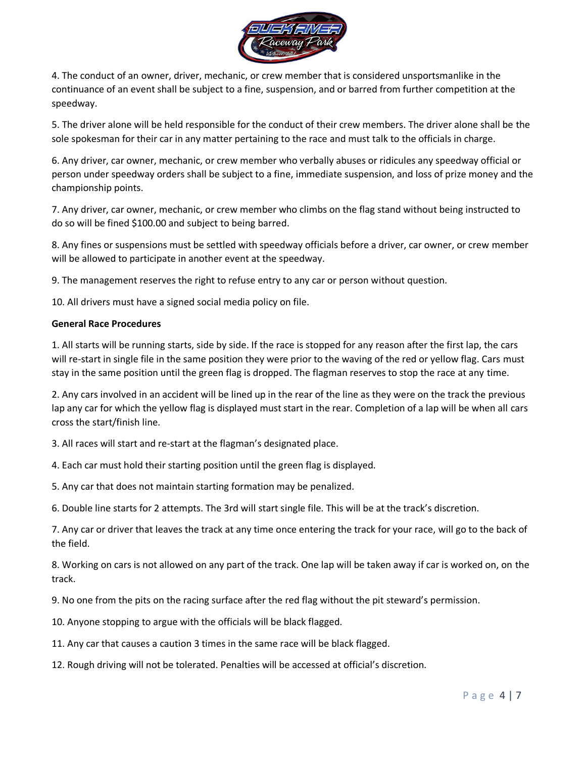

4. The conduct of an owner, driver, mechanic, or crew member that is considered unsportsmanlike in the continuance of an event shall be subject to a fine, suspension, and or barred from further competition at the speedway.

5. The driver alone will be held responsible for the conduct of their crew members. The driver alone shall be the sole spokesman for their car in any matter pertaining to the race and must talk to the officials in charge.

6. Any driver, car owner, mechanic, or crew member who verbally abuses or ridicules any speedway official or person under speedway orders shall be subject to a fine, immediate suspension, and loss of prize money and the championship points.

7. Any driver, car owner, mechanic, or crew member who climbs on the flag stand without being instructed to do so will be fined \$100.00 and subject to being barred.

8. Any fines or suspensions must be settled with speedway officials before a driver, car owner, or crew member will be allowed to participate in another event at the speedway.

9. The management reserves the right to refuse entry to any car or person without question.

10. All drivers must have a signed social media policy on file.

## **General Race Procedures**

1. All starts will be running starts, side by side. If the race is stopped for any reason after the first lap, the cars will re-start in single file in the same position they were prior to the waving of the red or yellow flag. Cars must stay in the same position until the green flag is dropped. The flagman reserves to stop the race at any time.

2. Any cars involved in an accident will be lined up in the rear of the line as they were on the track the previous lap any car for which the yellow flag is displayed must start in the rear. Completion of a lap will be when all cars cross the start/finish line.

3. All races will start and re-start at the flagman's designated place.

4. Each car must hold their starting position until the green flag is displayed.

5. Any car that does not maintain starting formation may be penalized.

6. Double line starts for 2 attempts. The 3rd will start single file. This will be at the track's discretion.

7. Any car or driver that leaves the track at any time once entering the track for your race, will go to the back of the field.

8. Working on cars is not allowed on any part of the track. One lap will be taken away if car is worked on, on the track.

9. No one from the pits on the racing surface after the red flag without the pit steward's permission.

10. Anyone stopping to argue with the officials will be black flagged.

11. Any car that causes a caution 3 times in the same race will be black flagged.

12. Rough driving will not be tolerated. Penalties will be accessed at official's discretion.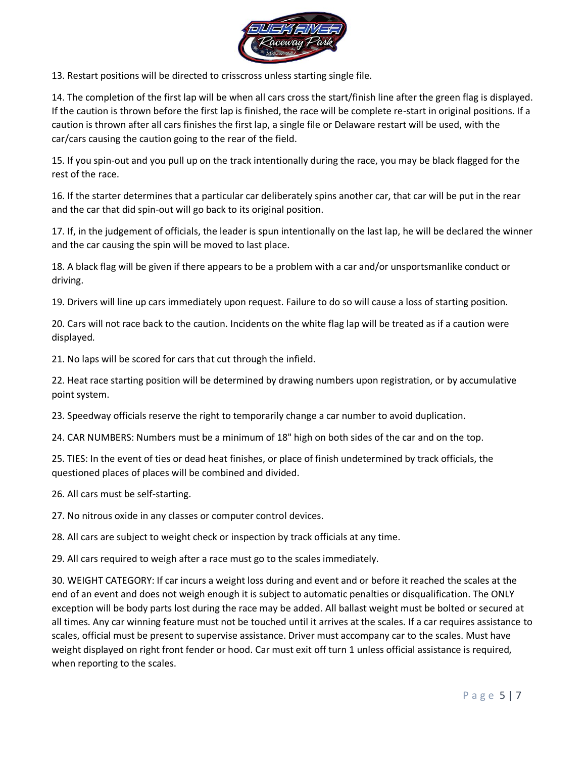

13. Restart positions will be directed to crisscross unless starting single file.

14. The completion of the first lap will be when all cars cross the start/finish line after the green flag is displayed. If the caution is thrown before the first lap is finished, the race will be complete re-start in original positions. If a caution is thrown after all cars finishes the first lap, a single file or Delaware restart will be used, with the car/cars causing the caution going to the rear of the field.

15. If you spin-out and you pull up on the track intentionally during the race, you may be black flagged for the rest of the race.

16. If the starter determines that a particular car deliberately spins another car, that car will be put in the rear and the car that did spin-out will go back to its original position.

17. If, in the judgement of officials, the leader is spun intentionally on the last lap, he will be declared the winner and the car causing the spin will be moved to last place.

18. A black flag will be given if there appears to be a problem with a car and/or unsportsmanlike conduct or driving.

19. Drivers will line up cars immediately upon request. Failure to do so will cause a loss of starting position.

20. Cars will not race back to the caution. Incidents on the white flag lap will be treated as if a caution were displayed.

21. No laps will be scored for cars that cut through the infield.

22. Heat race starting position will be determined by drawing numbers upon registration, or by accumulative point system.

23. Speedway officials reserve the right to temporarily change a car number to avoid duplication.

24. CAR NUMBERS: Numbers must be a minimum of 18" high on both sides of the car and on the top.

25. TIES: In the event of ties or dead heat finishes, or place of finish undetermined by track officials, the questioned places of places will be combined and divided.

26. All cars must be self-starting.

27. No nitrous oxide in any classes or computer control devices.

28. All cars are subject to weight check or inspection by track officials at any time.

29. All cars required to weigh after a race must go to the scales immediately.

30. WEIGHT CATEGORY: If car incurs a weight loss during and event and or before it reached the scales at the end of an event and does not weigh enough it is subject to automatic penalties or disqualification. The ONLY exception will be body parts lost during the race may be added. All ballast weight must be bolted or secured at all times. Any car winning feature must not be touched until it arrives at the scales. If a car requires assistance to scales, official must be present to supervise assistance. Driver must accompany car to the scales. Must have weight displayed on right front fender or hood. Car must exit off turn 1 unless official assistance is required, when reporting to the scales.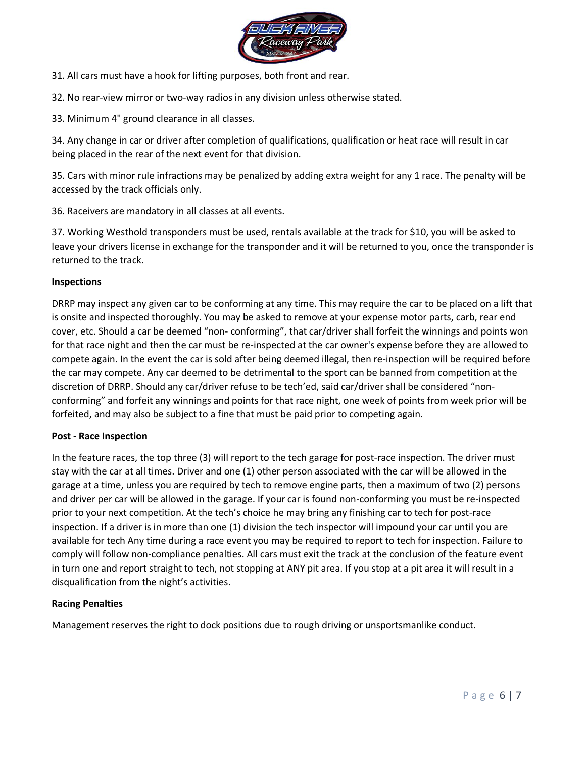

31. All cars must have a hook for lifting purposes, both front and rear.

32. No rear-view mirror or two-way radios in any division unless otherwise stated.

33. Minimum 4" ground clearance in all classes.

34. Any change in car or driver after completion of qualifications, qualification or heat race will result in car being placed in the rear of the next event for that division.

35. Cars with minor rule infractions may be penalized by adding extra weight for any 1 race. The penalty will be accessed by the track officials only.

36. Raceivers are mandatory in all classes at all events.

37. Working Westhold transponders must be used, rentals available at the track for \$10, you will be asked to leave your drivers license in exchange for the transponder and it will be returned to you, once the transponder is returned to the track.

## **Inspections**

DRRP may inspect any given car to be conforming at any time. This may require the car to be placed on a lift that is onsite and inspected thoroughly. You may be asked to remove at your expense motor parts, carb, rear end cover, etc. Should a car be deemed "non- conforming", that car/driver shall forfeit the winnings and points won for that race night and then the car must be re-inspected at the car owner's expense before they are allowed to compete again. In the event the car is sold after being deemed illegal, then re-inspection will be required before the car may compete. Any car deemed to be detrimental to the sport can be banned from competition at the discretion of DRRP. Should any car/driver refuse to be tech'ed, said car/driver shall be considered "nonconforming" and forfeit any winnings and points for that race night, one week of points from week prior will be forfeited, and may also be subject to a fine that must be paid prior to competing again.

## **Post - Race Inspection**

In the feature races, the top three (3) will report to the tech garage for post-race inspection. The driver must stay with the car at all times. Driver and one (1) other person associated with the car will be allowed in the garage at a time, unless you are required by tech to remove engine parts, then a maximum of two (2) persons and driver per car will be allowed in the garage. If your car is found non-conforming you must be re-inspected prior to your next competition. At the tech's choice he may bring any finishing car to tech for post-race inspection. If a driver is in more than one (1) division the tech inspector will impound your car until you are available for tech Any time during a race event you may be required to report to tech for inspection. Failure to comply will follow non-compliance penalties. All cars must exit the track at the conclusion of the feature event in turn one and report straight to tech, not stopping at ANY pit area. If you stop at a pit area it will result in a disqualification from the night's activities.

## **Racing Penalties**

Management reserves the right to dock positions due to rough driving or unsportsmanlike conduct.